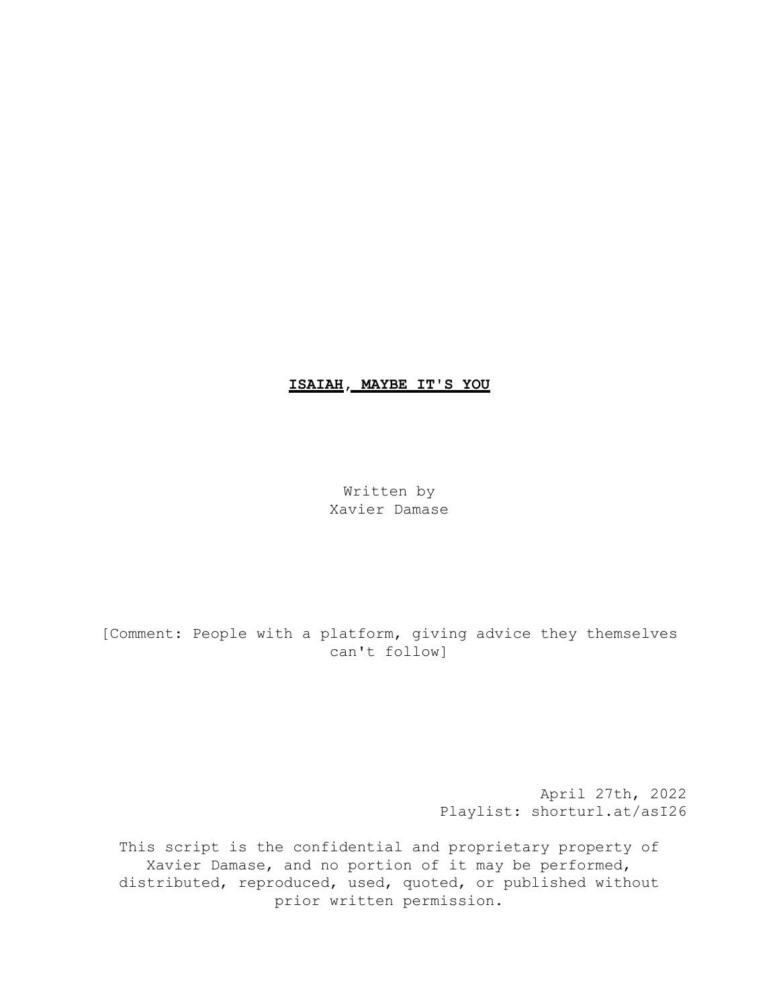# **ISAIAH, MAYBE IT'S YOU**

Written by Xavier Damase

[Comment: People with a platform, giving advice they themselves can't follow]

> April 27th, 2022 Playlist: shorturl.at/asI26

This script is the confidential and proprietary property of Xavier Damase, and no portion of it may be performed, distributed, reproduced, used, quoted, or published without prior written permission.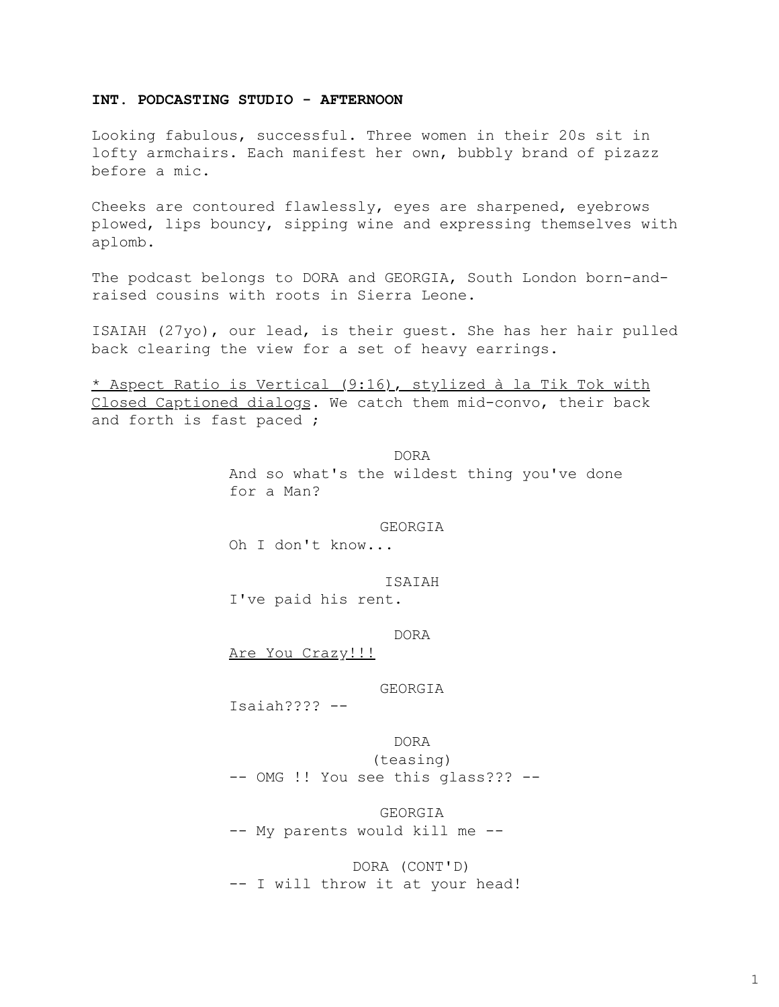# **INT. PODCASTING STUDIO - AFTERNOON**

Looking fabulous, successful. Three women in their 20s sit in lofty armchairs. Each manifest her own, bubbly brand of pizazz before a mic.

Cheeks are contoured flawlessly, eyes are sharpened, eyebrows plowed, lips bouncy, sipping wine and expressing themselves with aplomb.

The podcast belongs to DORA and GEORGIA, South London born-andraised cousins with roots in Sierra Leone.

ISAIAH (27yo), our lead, is their guest. She has her hair pulled back clearing the view for a set of heavy earrings.

\* Aspect Ratio is Vertical (9:16), stylized à la Tik Tok with Closed Captioned dialogs. We catch them mid-convo, their back and forth is fast paced ;

> DORA And so what's the wildest thing you've done for a Man?

#### GEORGIA

Oh I don't know...

ISAIAH I've paid his rent.

DORA

Are You Crazy!!!

### GEORGIA

Isaiah???? --

DORA (teasing) -- OMG !! You see this glass??? --

GEORGIA -- My parents would kill me --

DORA (CONT'D) -- I will throw it at your head!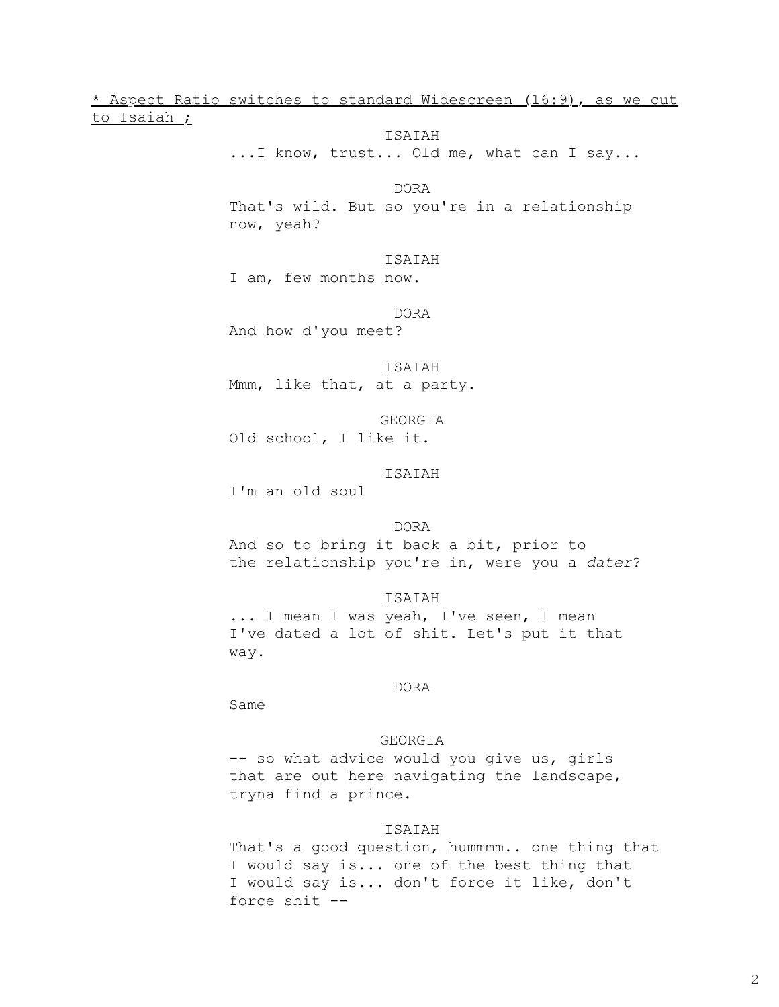\* Aspect Ratio switches to standard Widescreen (16:9), as we cut to Isaiah ;

ISAIAH

...I know, trust... Old me, what can I say...

DORA

That's wild. But so you're in a relationship now, yeah?

ISAIAH

I am, few months now.

DORA

And how d'you meet?

ISAIAH

Mmm, like that, at a party.

GEORGIA Old school, I like it.

ISAIAH

I'm an old soul

#### DORA

And so to bring it back a bit, prior to the relationship you're in, were you a *dater*?

ISAIAH

... I mean I was yeah, I've seen, I mean I've dated a lot of shit. Let's put it that way.

### DORA

Same

### GEORGIA

-- so what advice would you give us, girls that are out here navigating the landscape, tryna find a prince.

#### ISAIAH

That's a good question, hummmm.. one thing that I would say is... one of the best thing that I would say is... don't force it like, don't force shit --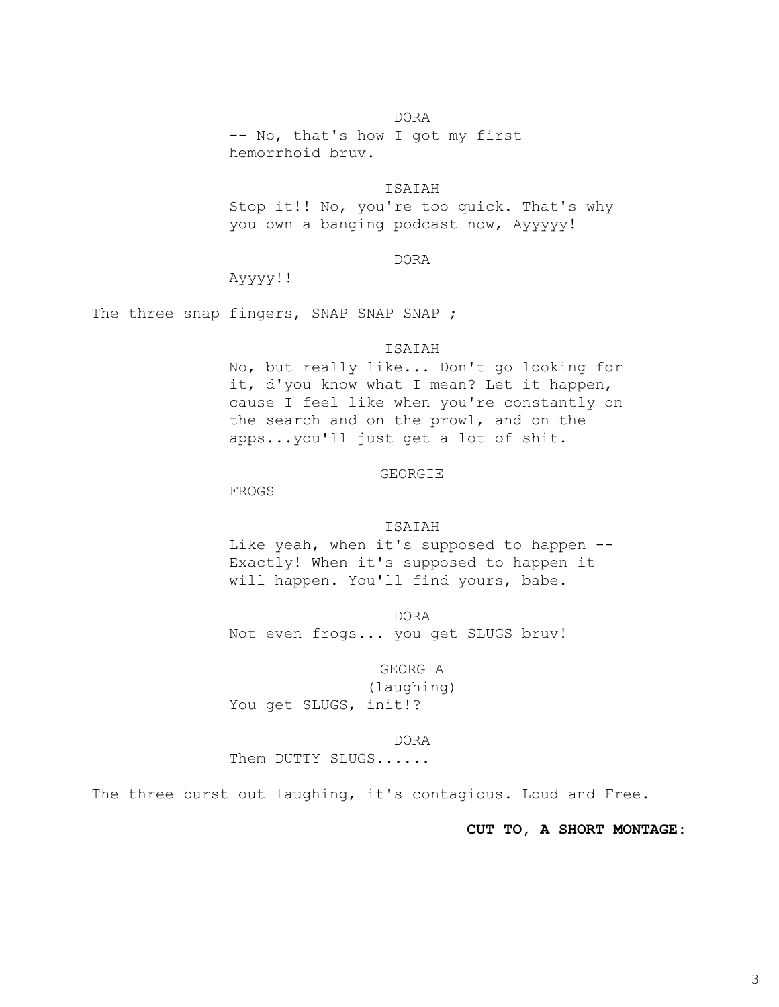# DORA

-- No, that's how I got my first hemorrhoid bruv.

### ISAIAH

Stop it!! No, you're too quick. That's why you own a banging podcast now, Ayyyyy!

### DORA

Ayyyy!!

The three snap fingers, SNAP SNAP SNAP ;

#### ISAIAH

No, but really like... Don't go looking for it, d'you know what I mean? Let it happen, cause I feel like when you're constantly on the search and on the prowl, and on the apps...you'll just get a lot of shit.

#### GEORGIE

FROGS

#### ISAIAH

Like yeah, when it's supposed to happen --Exactly! When it's supposed to happen it will happen. You'll find yours, babe.

DORA Not even frogs... you get SLUGS bruv!

# GEORGIA

(laughing) You get SLUGS, init!?

#### DORA

Them DUTTY SLUGS......

The three burst out laughing, it's contagious. Loud and Free.

### **CUT TO, A SHORT MONTAGE:**

3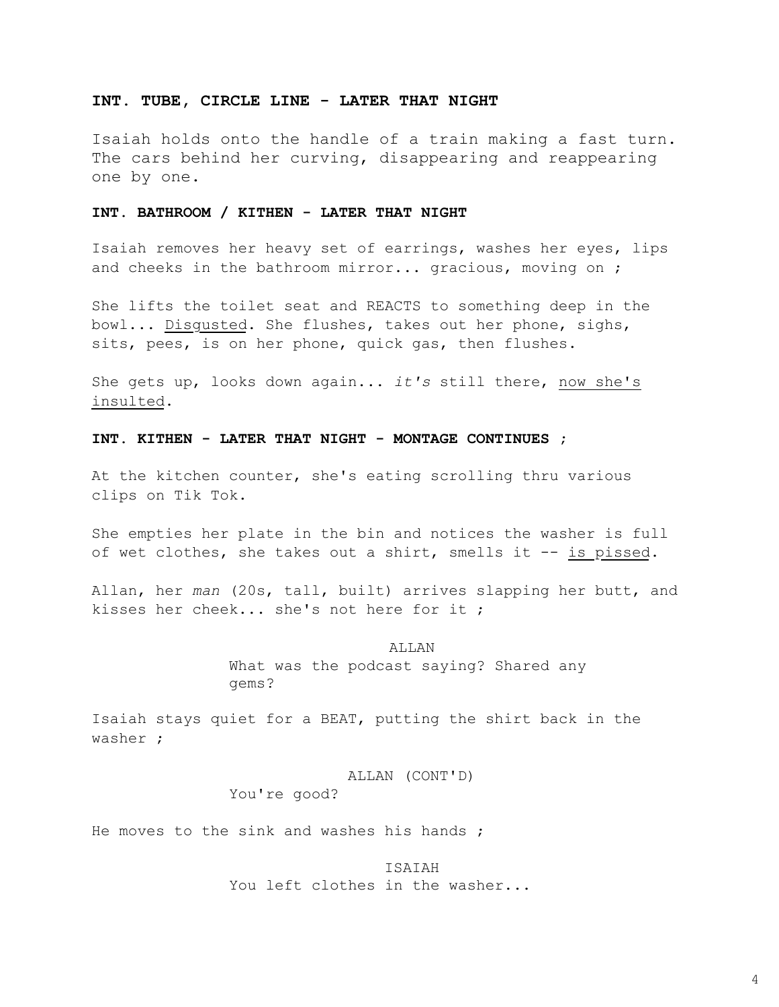#### **INT. TUBE, CIRCLE LINE - LATER THAT NIGHT**

Isaiah holds onto the handle of a train making a fast turn. The cars behind her curving, disappearing and reappearing one by one.

### **INT. BATHROOM / KITHEN - LATER THAT NIGHT**

Isaiah removes her heavy set of earrings, washes her eyes, lips and cheeks in the bathroom mirror... gracious, moving on ;

She lifts the toilet seat and REACTS to something deep in the bowl... Disgusted. She flushes, takes out her phone, sighs, sits, pees, is on her phone, quick gas, then flushes.

She gets up, looks down again... *it's* still there, now she's insulted.

#### **INT. KITHEN - LATER THAT NIGHT - MONTAGE CONTINUES ;**

At the kitchen counter, she's eating scrolling thru various clips on Tik Tok.

She empties her plate in the bin and notices the washer is full of wet clothes, she takes out a shirt, smells it -- is pissed.

Allan, her *man* (20s, tall, built) arrives slapping her butt, and kisses her cheek... she's not here for it ;

> ALLAN What was the podcast saying? Shared any gems?

Isaiah stays quiet for a BEAT, putting the shirt back in the washer ;

> ALLAN (CONT'D) You're good?

He moves to the sink and washes his hands ;

ISAIAH You left clothes in the washer...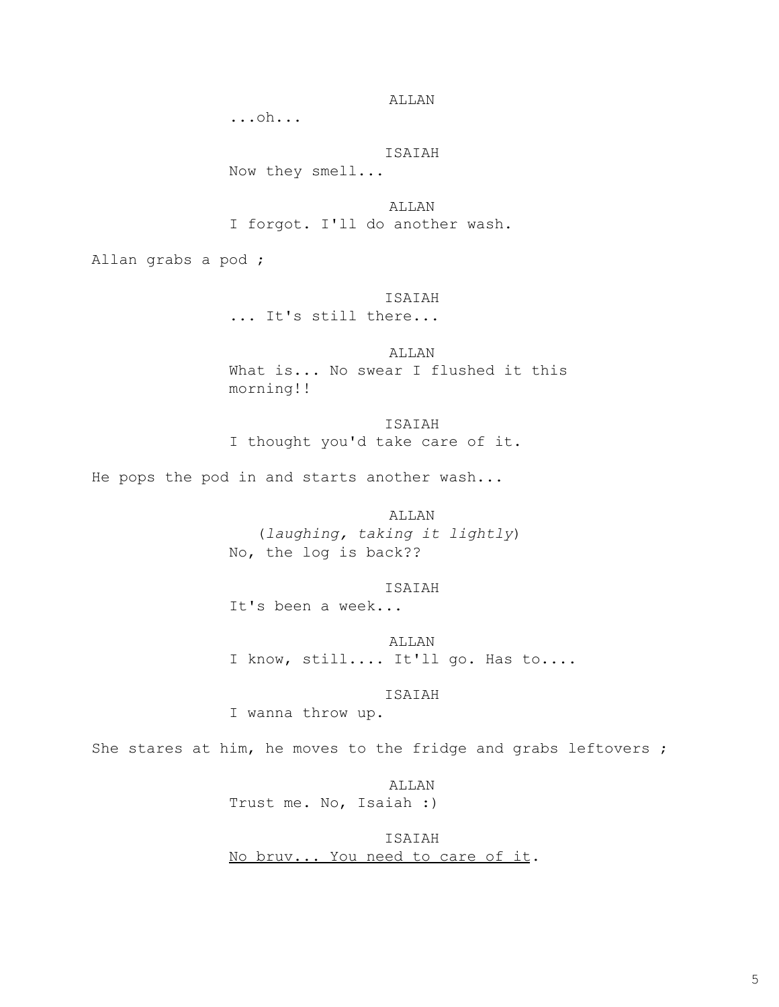ALLAN

...oh...

# ISAIAH

Now they smell...

ALLAN I forgot. I'll do another wash.

Allan grabs a pod ;

### ISAIAH

... It's still there...

ALLAN What is... No swear I flushed it this morning!!

ISAIAH I thought you'd take care of it.

He pops the pod in and starts another wash...

ALLAN

(*laughing, taking it lightly*) No, the log is back??

ISAIAH

It's been a week...

ALLAN I know, still.... It'll go. Has to....

ISAIAH

I wanna throw up.

She stares at him, he moves to the fridge and grabs leftovers ;

ALLAN

Trust me. No, Isaiah :)

ISAIAH No bruv... You need to care of it.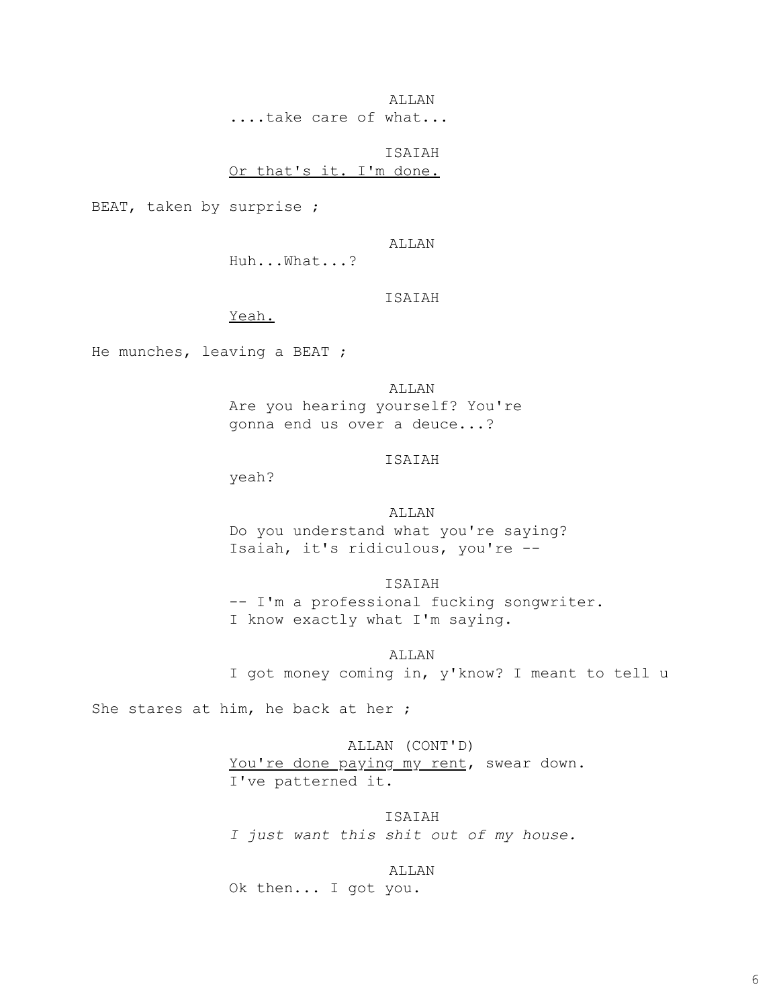ALLAN ....take care of what...

ISAIAH Or that's it. I'm done.

BEAT, taken by surprise ;

ALLAN

Huh...What...?

#### ISAIAH

Yeah.

He munches, leaving a BEAT ;

ALLAN

Are you hearing yourself? You're gonna end us over a deuce...?

# ISAIAH

yeah?

#### ALLAN

Do you understand what you're saying? Isaiah, it's ridiculous, you're --

ISAIAH

-- I'm a professional fucking songwriter. I know exactly what I'm saying.

ALLAN

I got money coming in, y'know? I meant to tell u

She stares at him, he back at her ;

ALLAN (CONT'D) You're done paying my rent, swear down. I've patterned it.

ISAIAH *I just want this shit out of my house.*

ALLAN

Ok then... I got you.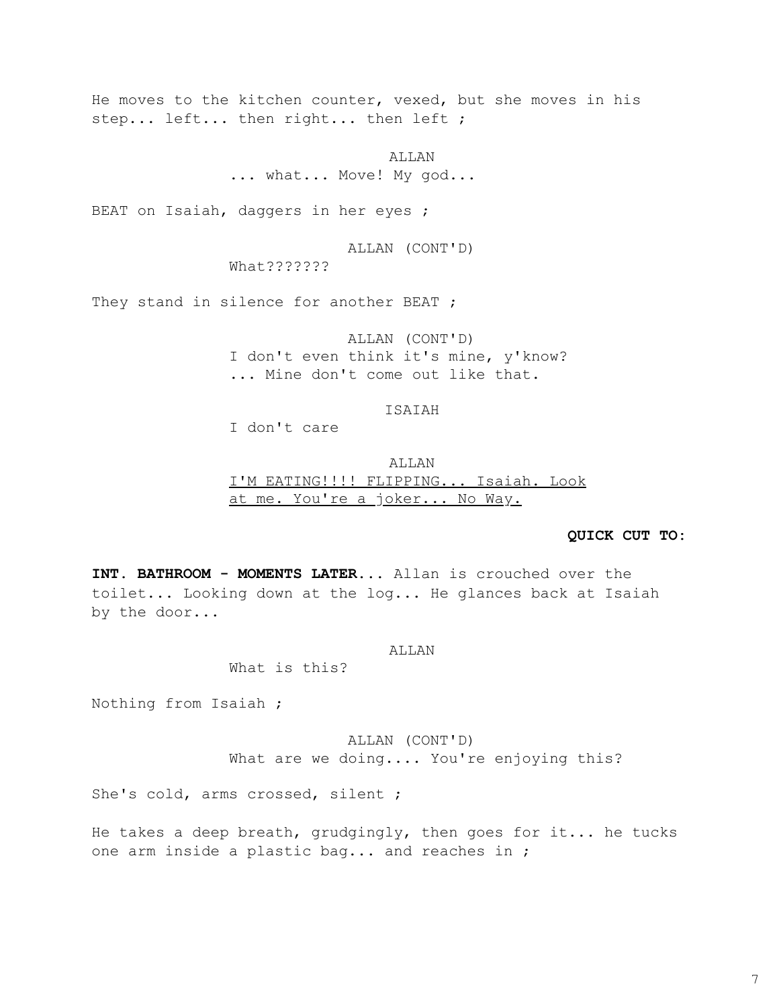He moves to the kitchen counter, vexed, but she moves in his step... left... then right... then left ;

> ALLAN ... what... Move! My god...

BEAT on Isaiah, daggers in her eyes ;

ALLAN (CONT'D) What???????

They stand in silence for another BEAT ;

ALLAN (CONT'D) I don't even think it's mine, y'know? ... Mine don't come out like that.

### ISAIAH

I don't care

ALLAN I'M EATING!!!! FLIPPING... Isaiah. Look at me. You're a joker... No Way.

#### **QUICK CUT TO:**

**INT. BATHROOM - MOMENTS LATER**... Allan is crouched over the toilet... Looking down at the log... He glances back at Isaiah by the door...

#### ALLAN

What is this?

Nothing from Isaiah ;

ALLAN (CONT'D) What are we doing.... You're enjoying this?

She's cold, arms crossed, silent ;

He takes a deep breath, grudgingly, then goes for it... he tucks one arm inside a plastic bag... and reaches in ;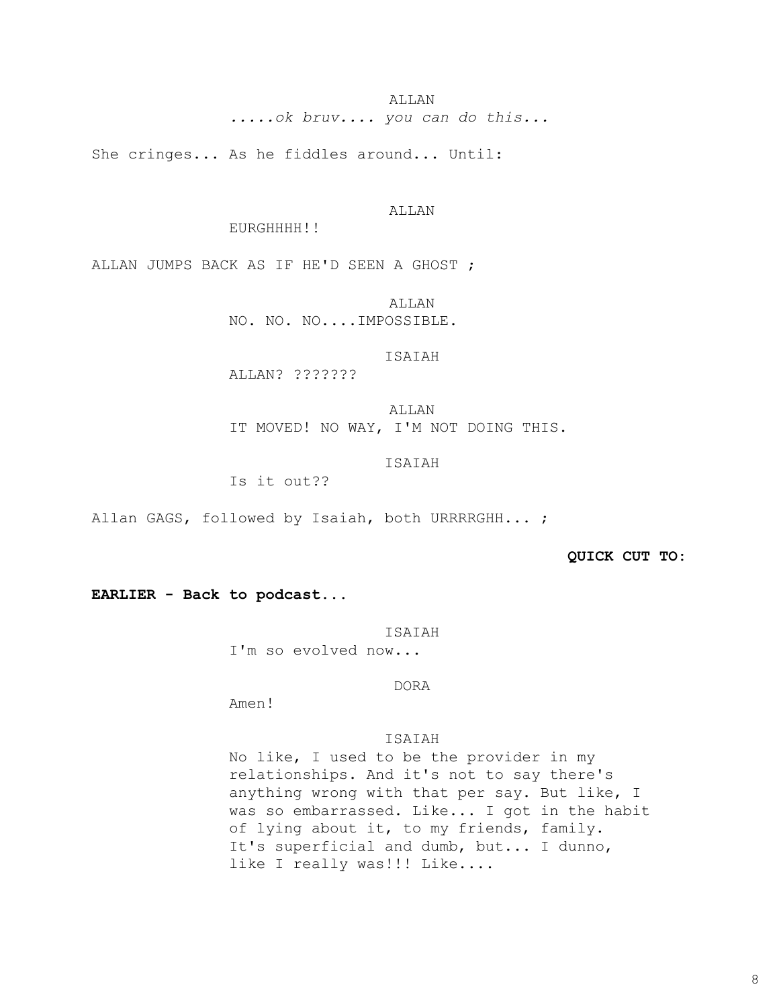ALLAN *.....ok bruv.... you can do this...*

She cringes... As he fiddles around... Until:

ALLAN

EURGHHHH!!

ALLAN JUMPS BACK AS IF HE'D SEEN A GHOST ;

ALLAN NO. NO. NO....IMPOSSIBLE.

### ISAIAH

ALLAN? ???????

ALLAN IT MOVED! NO WAY, I'M NOT DOING THIS.

ISAIAH

Is it out??

Allan GAGS, followed by Isaiah, both URRRRGHH...;

**QUICK CUT TO:** 

**EARLIER - Back to podcast**...

#### ISAIAH

I'm so evolved now...

DORA

Amen!

ISAIAH

No like, I used to be the provider in my relationships. And it's not to say there's anything wrong with that per say. But like, I was so embarrassed. Like... I got in the habit of lying about it, to my friends, family. It's superficial and dumb, but... I dunno, like I really was!!! Like....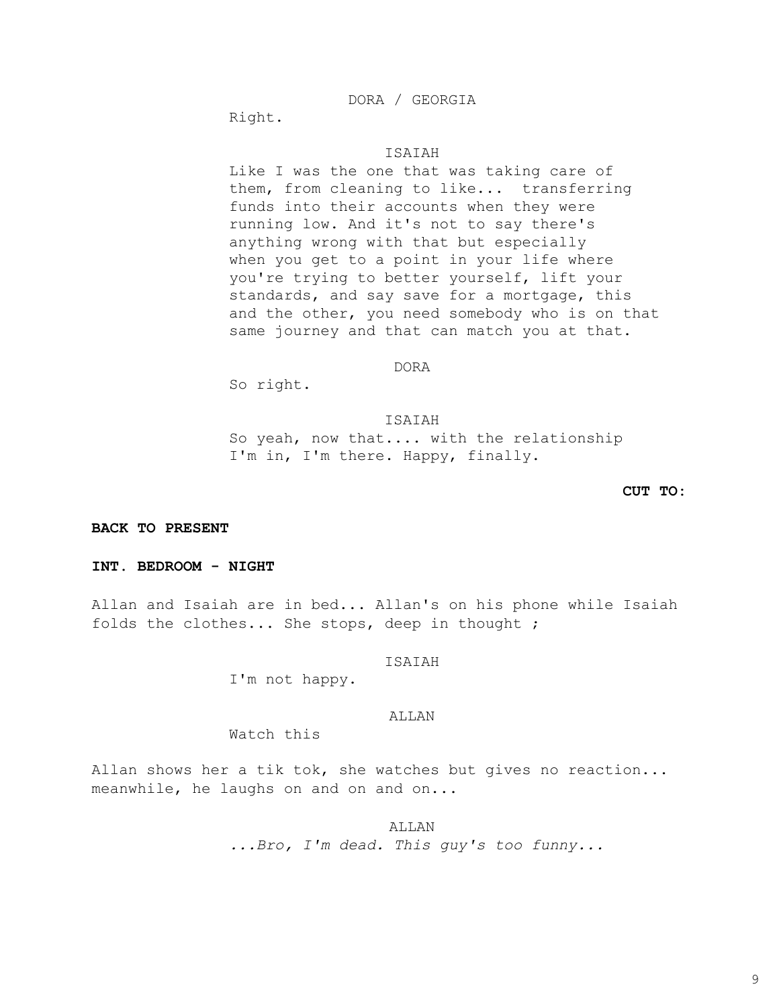DORA / GEORGIA

Right.

### ISAIAH

Like I was the one that was taking care of them, from cleaning to like... transferring funds into their accounts when they were running low. And it's not to say there's anything wrong with that but especially when you get to a point in your life where you're trying to better yourself, lift your standards, and say save for a mortgage, this and the other, you need somebody who is on that same journey and that can match you at that.

#### DORA

So right.

#### ISAIAH

So yeah, now that.... with the relationship I'm in, I'm there. Happy, finally.

### **CUT TO:**

**BACK TO PRESENT** 

### **INT. BEDROOM - NIGHT**

Allan and Isaiah are in bed..**.** Allan's on his phone while Isaiah folds the clothes... She stops, deep in thought ;

#### ISAIAH

I'm not happy.

### ALLAN

Watch this

Allan shows her a tik tok, she watches but gives no reaction... meanwhile, he laughs on and on and on...

ALLAN

*...Bro, I'm dead. This guy's too funny...*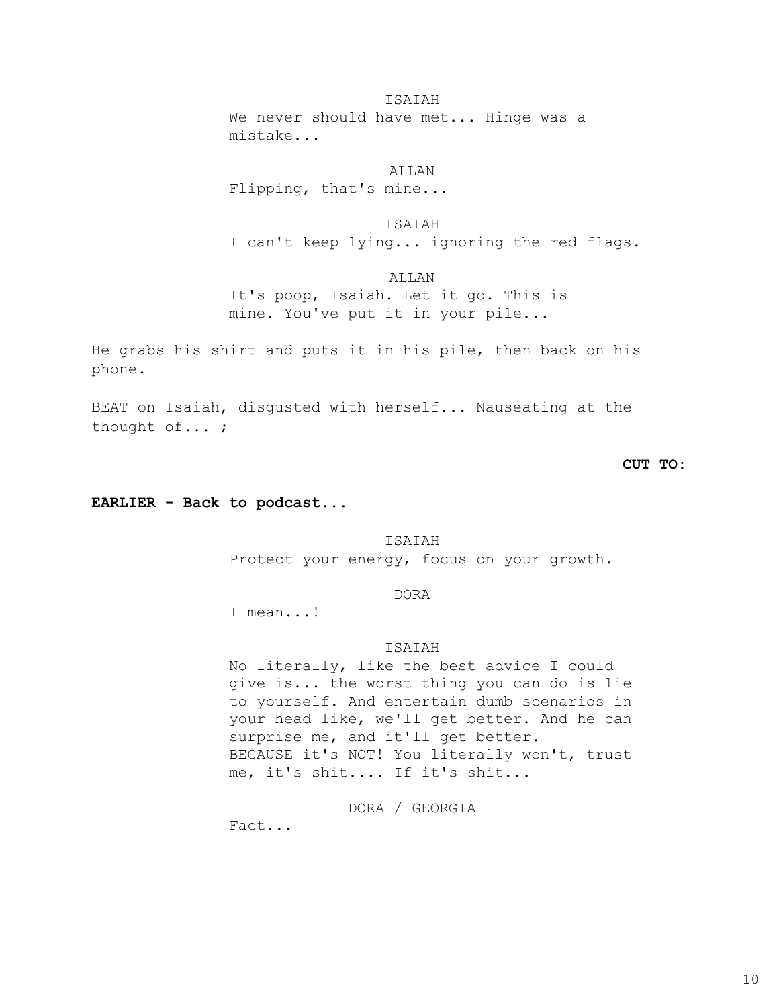#### ISAIAH

We never should have met... Hinge was a mistake...

#### ALLAN

Flipping, that's mine...

# ISAIAH

I can't keep lying... ignoring the red flags.

ALLAN

It's poop, Isaiah. Let it go. This is mine. You've put it in your pile...

He grabs his shirt and puts it in his pile, then back on his phone.

BEAT on Isaiah, disgusted with herself... Nauseating at the thought of... ;

# **CUT TO:**

**EARLIER - Back to podcast**...

#### ISAIAH

Protect your energy, focus on your growth.

### DORA

I mean...!

#### ISAIAH

No literally, like the best advice I could give is... the worst thing you can do is lie to yourself. And entertain dumb scenarios in your head like, we'll get better. And he can surprise me, and it'll get better. BECAUSE it's NOT! You literally won't, trust me, it's shit.... If it's shit...

# DORA / GEORGIA

Fact...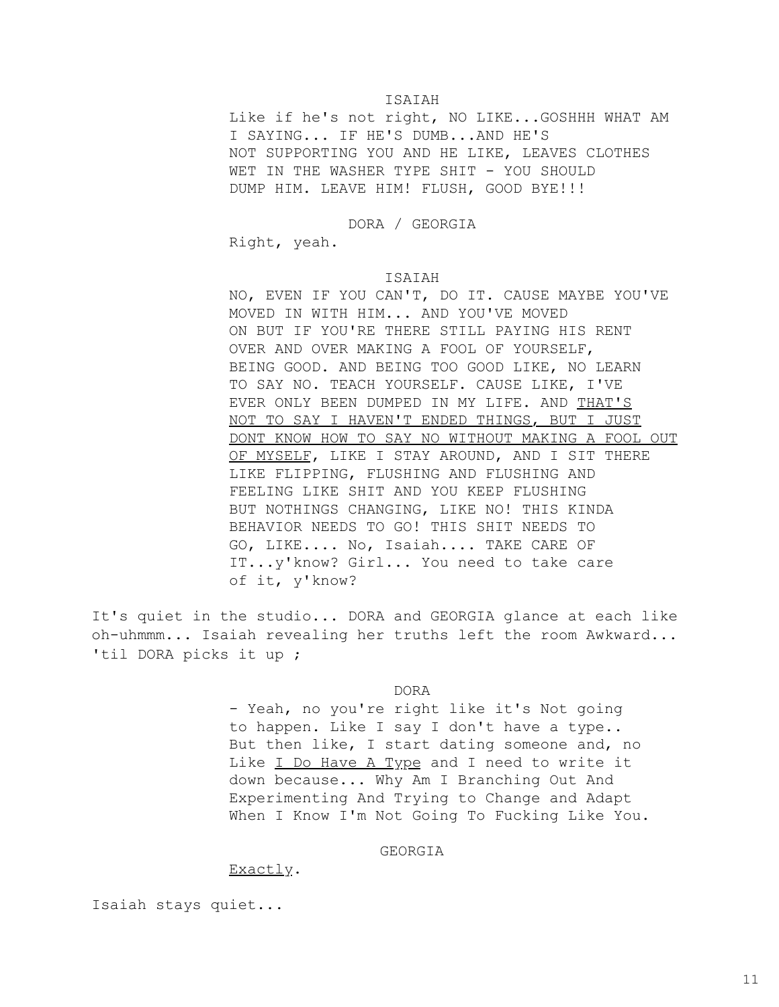### ISAIAH

Like if he's not right, NO LIKE...GOSHHH WHAT AM I SAYING... IF HE'S DUMB...AND HE'S NOT SUPPORTING YOU AND HE LIKE, LEAVES CLOTHES WET IN THE WASHER TYPE SHIT - YOU SHOULD DUMP HIM. LEAVE HIM! FLUSH, GOOD BYE!!!

# DORA / GEORGIA

Right, yeah.

#### ISAIAH

NO, EVEN IF YOU CAN'T, DO IT. CAUSE MAYBE YOU'VE MOVED IN WITH HIM... AND YOU'VE MOVED ON BUT IF YOU'RE THERE STILL PAYING HIS RENT OVER AND OVER MAKING A FOOL OF YOURSELF, BEING GOOD. AND BEING TOO GOOD LIKE, NO LEARN TO SAY NO. TEACH YOURSELF. CAUSE LIKE, I'VE EVER ONLY BEEN DUMPED IN MY LIFE. AND THAT'S NOT TO SAY I HAVEN'T ENDED THINGS, BUT I JUST DONT KNOW HOW TO SAY NO WITHOUT MAKING A FOOL OUT OF MYSELF, LIKE I STAY AROUND, AND I SIT THERE LIKE FLIPPING, FLUSHING AND FLUSHING AND FEELING LIKE SHIT AND YOU KEEP FLUSHING BUT NOTHINGS CHANGING, LIKE NO! THIS KINDA BEHAVIOR NEEDS TO GO! THIS SHIT NEEDS TO GO, LIKE.... No, Isaiah.... TAKE CARE OF IT...y'know? Girl... You need to take care of it, y'know?

It's quiet in the studio... DORA and GEORGIA glance at each like oh-uhmmm... Isaiah revealing her truths left the room Awkward... 'til DORA picks it up ;

#### DORA

- Yeah, no you're right like it's Not going to happen. Like I say I don't have a type.. But then like, I start dating someone and, no Like I Do Have A Type and I need to write it down because... Why Am I Branching Out And Experimenting And Trying to Change and Adapt When I Know I'm Not Going To Fucking Like You.

#### GEORGIA

# Exactly.

Isaiah stays quiet...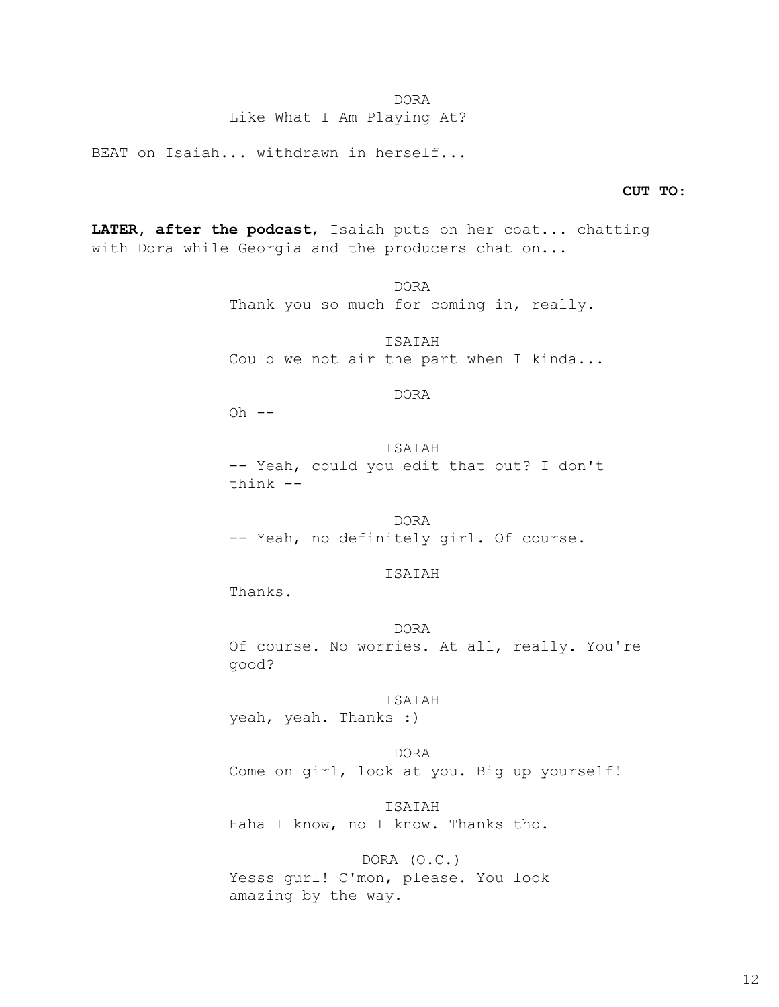# Like What I Am Playing At?

BEAT on Isaiah... withdrawn in herself...

#### **CUT TO:**

**LATER, after the podcast**, Isaiah puts on her coat... chatting with Dora while Georgia and the producers chat on...

> DORA Thank you so much for coming in, really. ISAIAH

Could we not air the part when I kinda...

### DORA

 $Oh$   $--$ 

ISAIAH -- Yeah, could you edit that out? I don't think --

DORA -- Yeah, no definitely girl. Of course.

# ISAIAH

Thanks.

### DORA

Of course. No worries. At all, really. You're good?

### ISAIAH

yeah, yeah. Thanks :)

## DORA

Come on girl, look at you. Big up yourself!

# ISAIAH

Haha I know, no I know. Thanks tho.

# DORA (O.C.)

Yesss gurl! C'mon, please. You look amazing by the way.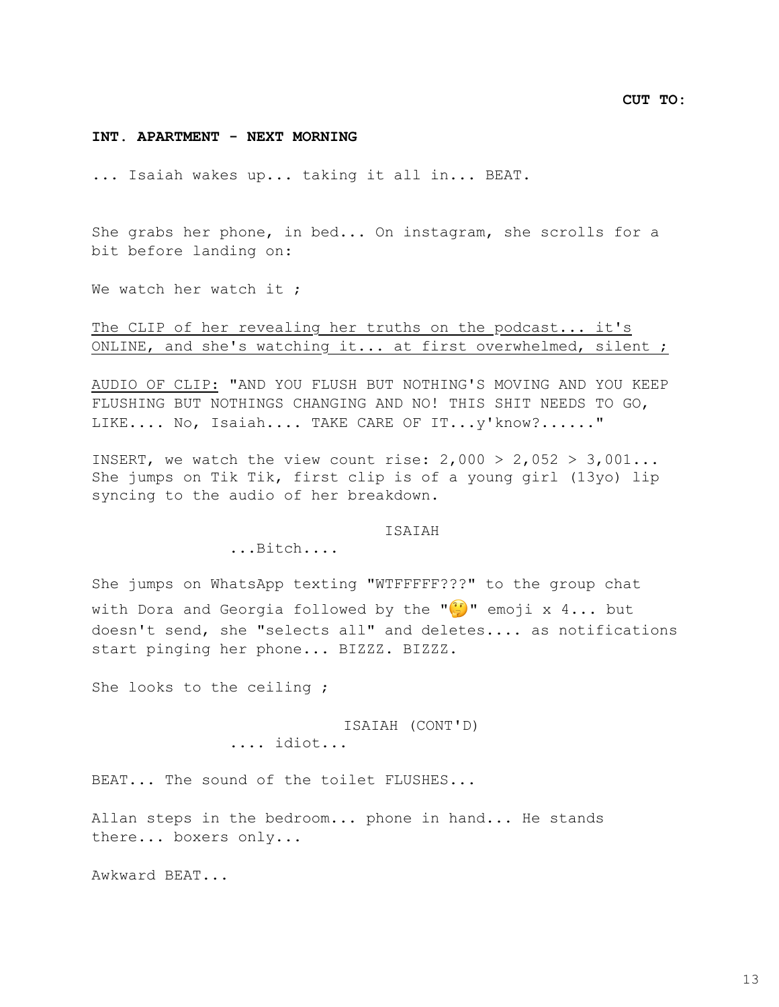# **INT. APARTMENT - NEXT MORNING**

... Isaiah wakes up... taking it all in... BEAT.

She grabs her phone, in bed... On instagram, she scrolls for a bit before landing on:

We watch her watch it ;

The CLIP of her revealing her truths on the podcast... it's ONLINE, and she's watching it... at first overwhelmed, silent ;

AUDIO OF CLIP: "AND YOU FLUSH BUT NOTHING'S MOVING AND YOU KEEP FLUSHING BUT NOTHINGS CHANGING AND NO! THIS SHIT NEEDS TO GO, LIKE.... No, Isaiah.... TAKE CARE OF IT...y'know?......"

INSERT, we watch the view count rise:  $2,000 > 2,052 > 3,001...$ She jumps on Tik Tik, first clip is of a young girl (13yo) lip syncing to the audio of her breakdown.

ISAIAH

...Bitch....

She jumps on WhatsApp texting "WTFFFFF???" to the group chat with Dora and Georgia followed by the " $\mathbb{G}$ " emoji x 4... but doesn't send, she "selects all" and deletes.... as notifications start pinging her phone... BIZZZ. BIZZZ.

She looks to the ceiling ;

ISAIAH (CONT'D) .... idiot...

BEAT... The sound of the toilet FLUSHES...

Allan steps in the bedroom... phone in hand... He stands there... boxers only...

Awkward BEAT...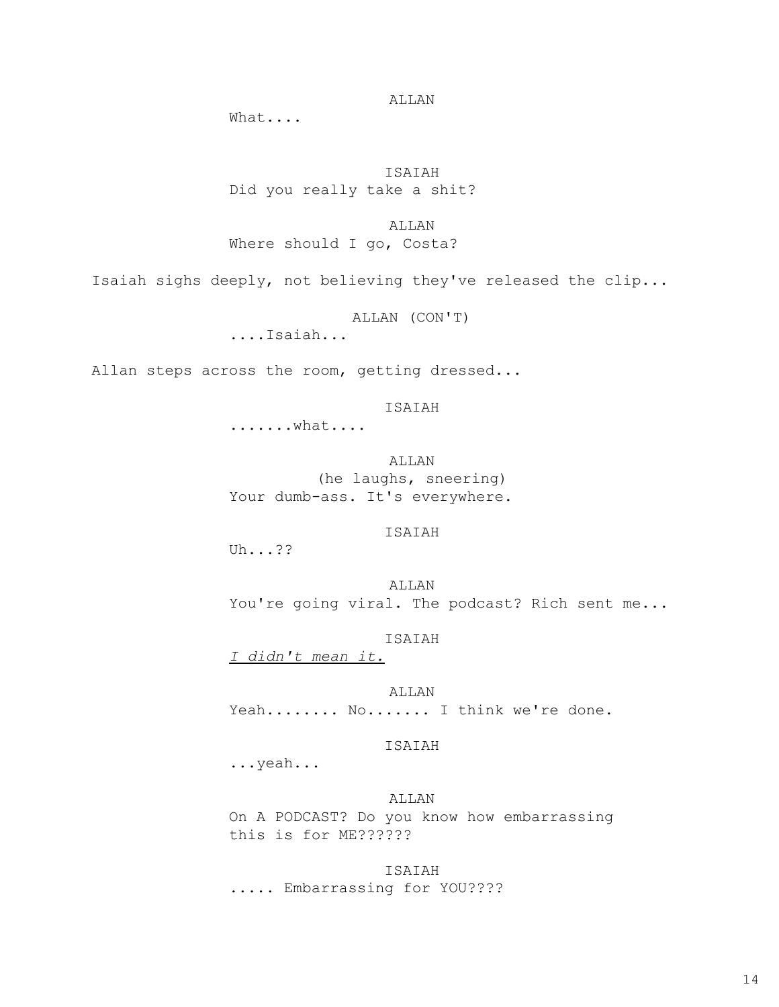# ALLAN

What....

ISAIAH Did you really take a shit?

ALLAN

Where should I go, Costa?

Isaiah sighs deeply, not believing they've released the clip...

ALLAN (CON'T)

....Isaiah...

Allan steps across the room, getting dressed...

ISAIAH

.......what....

ALLAN (he laughs, sneering) Your dumb-ass. It's everywhere.

# ISAIAH

Uh...??

ALLAN You're going viral. The podcast? Rich sent me...

ISAIAH

*I didn't mean it.*

ALLAN Yeah........ No....... I think we're done.

### ISAIAH

...yeah...

# ALLAN

On A PODCAST? Do you know how embarrassing this is for ME??????

# ISAIAH

..... Embarrassing for YOU????